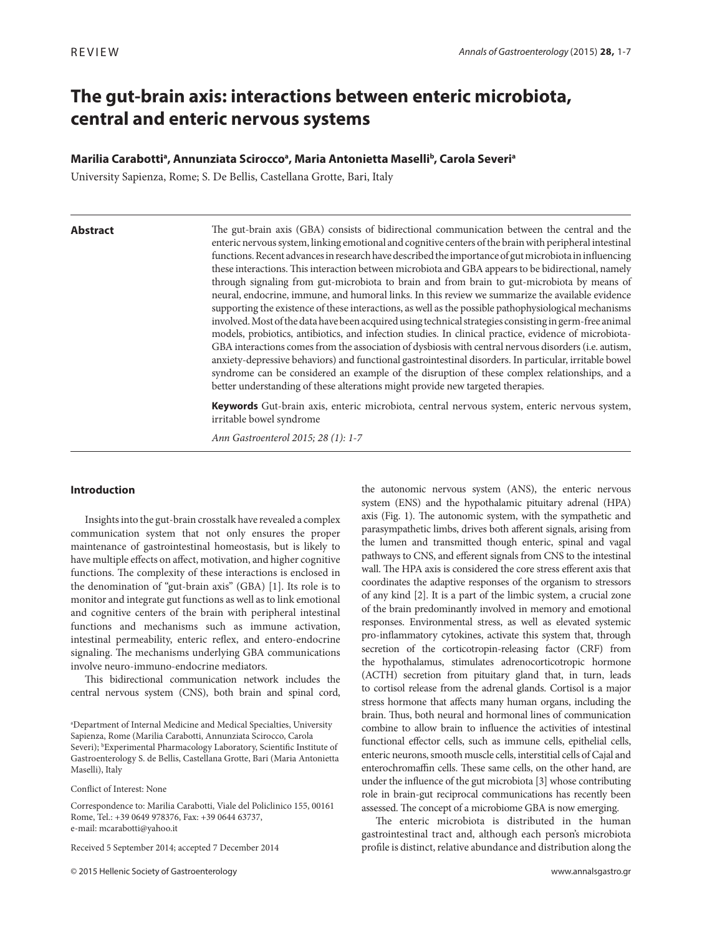# **The gut-brain axis: interactions between enteric microbiota, central and enteric nervous systems**

# Marilia Carabottiª, Annunziata Sciroccoª, Maria Antonietta Maselli<sup>b</sup>, Carola Severiª

University Sapienza, Rome; S. De Bellis, Castellana Grotte, Bari, Italy

#### **Abstract**

The gut-brain axis (GBA) consists of bidirectional communication between the central and the enteric nervous system, linking emotional and cognitive centers of the brain with peripheral intestinal functions. Recent advances in research have described the importance of gut microbiota in influencing these interactions. This interaction between microbiota and GBA appears to be bidirectional, namely through signaling from gut-microbiota to brain and from brain to gut-microbiota by means of neural, endocrine, immune, and humoral links. In this review we summarize the available evidence supporting the existence of these interactions, as well as the possible pathophysiological mechanisms involved. Most of the data have been acquired using technical strategies consisting in germ-free animal models, probiotics, antibiotics, and infection studies. In clinical practice, evidence of microbiota-GBA interactions comes from the association of dysbiosis with central nervous disorders (i.e. autism, anxiety-depressive behaviors) and functional gastrointestinal disorders. In particular, irritable bowel syndrome can be considered an example of the disruption of these complex relationships, and a better understanding of these alterations might provide new targeted therapies.

**Keywords** Gut-brain axis, enteric microbiota, central nervous system, enteric nervous system, irritable bowel syndrome

*Ann Gastroenterol 2015; 28 (1): 1-7*

### **Introduction**

Insights into the gut-brain crosstalk have revealed a complex communication system that not only ensures the proper maintenance of gastrointestinal homeostasis, but is likely to have multiple effects on affect, motivation, and higher cognitive functions. The complexity of these interactions is enclosed in the denomination of "gut-brain axis" (GBA) [1]. Its role is to monitor and integrate gut functions as well as to link emotional and cognitive centers of the brain with peripheral intestinal functions and mechanisms such as immune activation, intestinal permeability, enteric reflex, and entero-endocrine signaling. The mechanisms underlying GBA communications involve neuro-immuno-endocrine mediators.

This bidirectional communication network includes the central nervous system (CNS), both brain and spinal cord,

a Department of Internal Medicine and Medical Specialties, University Sapienza, Rome (Marilia Carabotti, Annunziata Scirocco, Carola Severi); <sup>b</sup>Experimental Pharmacology Laboratory, Scientific Institute of Gastroenterology S. de Bellis, Castellana Grotte, Bari (Maria Antonietta Maselli), Italy

Conflict of Interest: None

Correspondence to: Marilia Carabotti, Viale del Policlinico 155, 00161 Rome, Tel.: +39 0649 978376, Fax: +39 0644 63737, e-mail: mcarabotti@yahoo.it

Received 5 September 2014; accepted 7 December 2014

© 2015 Hellenic Society of Gastroenterology www.annalsgastro.gr

the autonomic nervous system (ANS), the enteric nervous system (ENS) and the hypothalamic pituitary adrenal (HPA) axis (Fig. 1). The autonomic system, with the sympathetic and parasympathetic limbs, drives both afferent signals, arising from the lumen and transmitted though enteric, spinal and vagal pathways to CNS, and efferent signals from CNS to the intestinal wall. The HPA axis is considered the core stress efferent axis that coordinates the adaptive responses of the organism to stressors of any kind [2]. It is a part of the limbic system, a crucial zone of the brain predominantly involved in memory and emotional responses. Environmental stress, as well as elevated systemic pro-inflammatory cytokines, activate this system that, through secretion of the corticotropin-releasing factor (CRF) from the hypothalamus, stimulates adrenocorticotropic hormone (ACTH) secretion from pituitary gland that, in turn, leads to cortisol release from the adrenal glands. Cortisol is a major stress hormone that affects many human organs, including the brain. Thus, both neural and hormonal lines of communication combine to allow brain to influence the activities of intestinal functional effector cells, such as immune cells, epithelial cells, enteric neurons, smooth muscle cells, interstitial cells of Cajal and enterochromaffin cells. These same cells, on the other hand, are under the influence of the gut microbiota [3] whose contributing role in brain-gut reciprocal communications has recently been assessed. The concept of a microbiome GBA is now emerging.

The enteric microbiota is distributed in the human gastrointestinal tract and, although each person's microbiota profile is distinct, relative abundance and distribution along the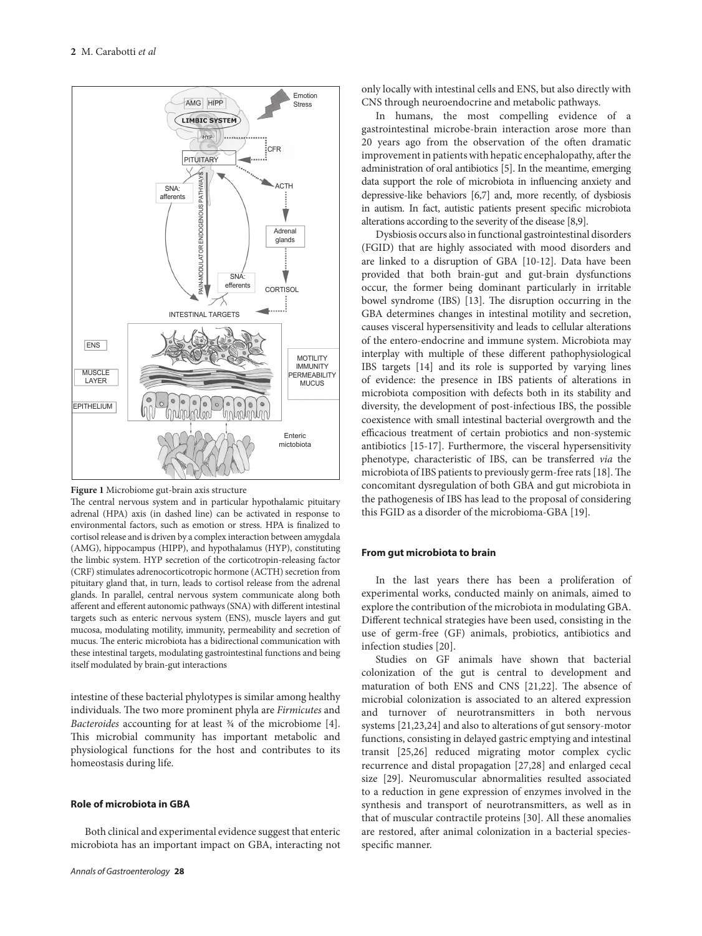

**Figure 1** Microbiome gut-brain axis structure

The central nervous system and in particular hypothalamic pituitary adrenal (HPA) axis (in dashed line) can be activated in response to environmental factors, such as emotion or stress. HPA is finalized to cortisol release and is driven by a complex interaction between amygdala (AMG), hippocampus (HIPP), and hypothalamus (HYP), constituting the limbic system. HYP secretion of the corticotropin-releasing factor (CRF) stimulates adrenocorticotropic hormone (ACTH) secretion from pituitary gland that, in turn, leads to cortisol release from the adrenal glands. In parallel, central nervous system communicate along both afferent and efferent autonomic pathways (SNA) with different intestinal targets such as enteric nervous system (ENS), muscle layers and gut mucosa, modulating motility, immunity, permeability and secretion of mucus. The enteric microbiota has a bidirectional communication with these intestinal targets, modulating gastrointestinal functions and being itself modulated by brain-gut interactions

intestine of these bacterial phylotypes is similar among healthy individuals. The two more prominent phyla are *Firmicutes* and *Bacteroides* accounting for at least ¾ of the microbiome [4]. This microbial community has important metabolic and physiological functions for the host and contributes to its homeostasis during life.

# **Role of microbiota in GBA**

Both clinical and experimental evidence suggest that enteric microbiota has an important impact on GBA, interacting not

only locally with intestinal cells and ENS, but also directly with CNS through neuroendocrine and metabolic pathways.

In humans, the most compelling evidence of a gastrointestinal microbe-brain interaction arose more than 20 years ago from the observation of the often dramatic improvement in patients with hepatic encephalopathy, after the administration of oral antibiotics [5]. In the meantime, emerging data support the role of microbiota in influencing anxiety and depressive-like behaviors [6,7] and, more recently, of dysbiosis in autism. In fact, autistic patients present specific microbiota alterations according to the severity of the disease [8,9].

Dysbiosis occurs also in functional gastrointestinal disorders (FGID) that are highly associated with mood disorders and are linked to a disruption of GBA [10-12]. Data have been provided that both brain-gut and gut-brain dysfunctions occur, the former being dominant particularly in irritable bowel syndrome (IBS) [13]. The disruption occurring in the GBA determines changes in intestinal motility and secretion, causes visceral hypersensitivity and leads to cellular alterations of the entero-endocrine and immune system. Microbiota may interplay with multiple of these different pathophysiological IBS targets [14] and its role is supported by varying lines of evidence: the presence in IBS patients of alterations in microbiota composition with defects both in its stability and diversity, the development of post-infectious IBS, the possible coexistence with small intestinal bacterial overgrowth and the efficacious treatment of certain probiotics and non-systemic antibiotics [15-17]. Furthermore, the visceral hypersensitivity phenotype, characteristic of IBS, can be transferred *via* the microbiota of IBS patients to previously germ-free rats [18]. The concomitant dysregulation of both GBA and gut microbiota in the pathogenesis of IBS has lead to the proposal of considering this FGID as a disorder of the microbioma-GBA [19].

#### **From gut microbiota to brain**

In the last years there has been a proliferation of experimental works, conducted mainly on animals, aimed to explore the contribution of the microbiota in modulating GBA. Different technical strategies have been used, consisting in the use of germ-free (GF) animals, probiotics, antibiotics and infection studies [20].

Studies on GF animals have shown that bacterial colonization of the gut is central to development and maturation of both ENS and CNS [21,22]. The absence of microbial colonization is associated to an altered expression and turnover of neurotransmitters in both nervous systems [21,23,24] and also to alterations of gut sensory-motor functions, consisting in delayed gastric emptying and intestinal transit [25,26] reduced migrating motor complex cyclic recurrence and distal propagation [27,28] and enlarged cecal size [29]. Neuromuscular abnormalities resulted associated to a reduction in gene expression of enzymes involved in the synthesis and transport of neurotransmitters, as well as in that of muscular contractile proteins [30]. All these anomalies are restored, after animal colonization in a bacterial speciesspecific manner.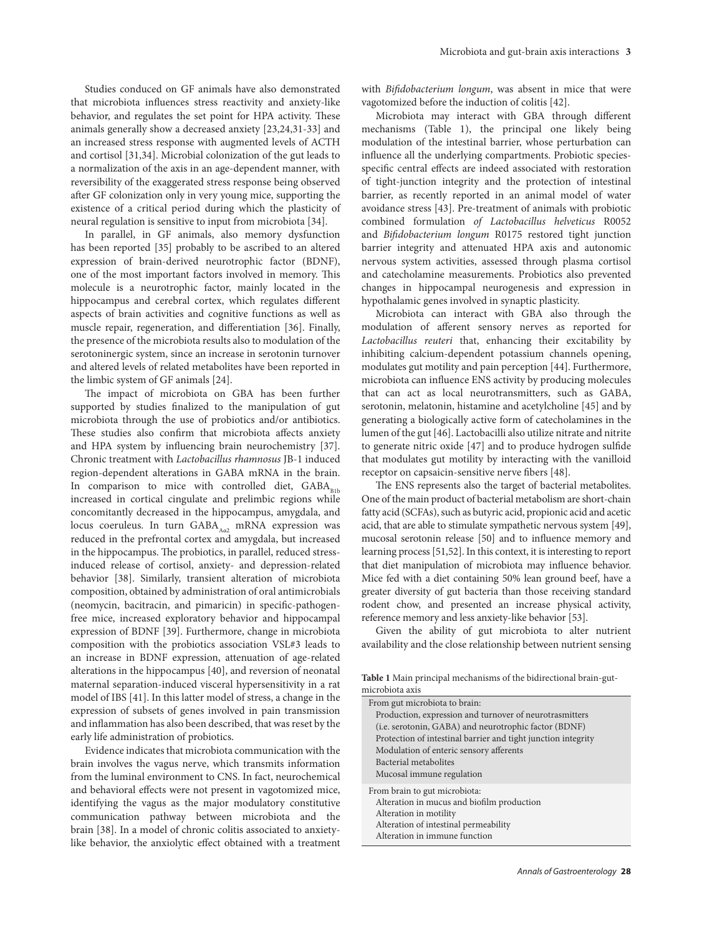Studies conduced on GF animals have also demonstrated that microbiota influences stress reactivity and anxiety-like behavior, and regulates the set point for HPA activity. These animals generally show a decreased anxiety [23,24,31-33] and an increased stress response with augmented levels of ACTH and cortisol [31,34]. Microbial colonization of the gut leads to a normalization of the axis in an age-dependent manner, with reversibility of the exaggerated stress response being observed after GF colonization only in very young mice, supporting the existence of a critical period during which the plasticity of neural regulation is sensitive to input from microbiota [34].

In parallel, in GF animals, also memory dysfunction has been reported [35] probably to be ascribed to an altered expression of brain-derived neurotrophic factor (BDNF), one of the most important factors involved in memory. This molecule is a neurotrophic factor, mainly located in the hippocampus and cerebral cortex, which regulates different aspects of brain activities and cognitive functions as well as muscle repair, regeneration, and differentiation [36]. Finally, the presence of the microbiota results also to modulation of the serotoninergic system, since an increase in serotonin turnover and altered levels of related metabolites have been reported in the limbic system of GF animals [24].

The impact of microbiota on GBA has been further supported by studies finalized to the manipulation of gut microbiota through the use of probiotics and/or antibiotics. These studies also confirm that microbiota affects anxiety and HPA system by influencing brain neurochemistry [37]. Chronic treatment with *Lactobacillus rhamnosus* JB-1 induced region-dependent alterations in GABA mRNA in the brain. In comparison to mice with controlled diet,  $GABA_{p_{1k}}$ increased in cortical cingulate and prelimbic regions while concomitantly decreased in the hippocampus, amygdala, and locus coeruleus. In turn  $GABA_{A_{02}}$  mRNA expression was reduced in the prefrontal cortex and amygdala, but increased in the hippocampus. The probiotics, in parallel, reduced stressinduced release of cortisol, anxiety- and depression-related behavior [38]. Similarly, transient alteration of microbiota composition, obtained by administration of oral antimicrobials (neomycin, bacitracin, and pimaricin) in specific-pathogenfree mice, increased exploratory behavior and hippocampal expression of BDNF [39]. Furthermore, change in microbiota composition with the probiotics association VSL#3 leads to an increase in BDNF expression, attenuation of age-related alterations in the hippocampus [40], and reversion of neonatal maternal separation-induced visceral hypersensitivity in a rat model of IBS [41]. In this latter model of stress, a change in the expression of subsets of genes involved in pain transmission and inflammation has also been described, that was reset by the early life administration of probiotics.

Evidence indicates that microbiota communication with the brain involves the vagus nerve, which transmits information from the luminal environment to CNS. In fact, neurochemical and behavioral effects were not present in vagotomized mice, identifying the vagus as the major modulatory constitutive communication pathway between microbiota and the brain [38]. In a model of chronic colitis associated to anxietylike behavior, the anxiolytic effect obtained with a treatment

with *Bifidobacterium longum*, was absent in mice that were vagotomized before the induction of colitis [42].

Microbiota may interact with GBA through different mechanisms (Table 1), the principal one likely being modulation of the intestinal barrier, whose perturbation can influence all the underlying compartments. Probiotic speciesspecific central effects are indeed associated with restoration of tight-junction integrity and the protection of intestinal barrier, as recently reported in an animal model of water avoidance stress [43]. Pre-treatment of animals with probiotic combined formulation *of Lactobacillus helveticus* R0052 and *Bifidobacterium longum* R0175 restored tight junction barrier integrity and attenuated HPA axis and autonomic nervous system activities, assessed through plasma cortisol and catecholamine measurements. Probiotics also prevented changes in hippocampal neurogenesis and expression in hypothalamic genes involved in synaptic plasticity.

Microbiota can interact with GBA also through the modulation of afferent sensory nerves as reported for *Lactobacillus reuteri* that, enhancing their excitability by inhibiting calcium-dependent potassium channels opening, modulates gut motility and pain perception [44]. Furthermore, microbiota can influence ENS activity by producing molecules that can act as local neurotransmitters, such as GABA, serotonin, melatonin, histamine and acetylcholine [45] and by generating a biologically active form of catecholamines in the lumen of the gut [46]. Lactobacilli also utilize nitrate and nitrite to generate nitric oxide [47] and to produce hydrogen sulfide that modulates gut motility by interacting with the vanilloid receptor on capsaicin-sensitive nerve fibers [48].

The ENS represents also the target of bacterial metabolites. One of the main product of bacterial metabolism are short-chain fatty acid (SCFAs), such as butyric acid, propionic acid and acetic acid, that are able to stimulate sympathetic nervous system [49], mucosal serotonin release [50] and to influence memory and learning process [51,52]. In this context, it is interesting to report that diet manipulation of microbiota may influence behavior. Mice fed with a diet containing 50% lean ground beef, have a greater diversity of gut bacteria than those receiving standard rodent chow, and presented an increase physical activity, reference memory and less anxiety-like behavior [53].

Given the ability of gut microbiota to alter nutrient availability and the close relationship between nutrient sensing

**Table 1** Main principal mechanisms of the bidirectional brain-gutmicrobiota axis

| From gut microbiota to brain:                                 |
|---------------------------------------------------------------|
| Production, expression and turnover of neurotrasmitters       |
| (i.e. serotonin, GABA) and neurotrophic factor (BDNF)         |
| Protection of intestinal barrier and tight junction integrity |
| Modulation of enteric sensory afferents                       |
| Bacterial metabolites                                         |
| Mucosal immune regulation                                     |
| From brain to gut microbiota:                                 |
| Alteration in mucus and biofilm production                    |
| Alteration in motility                                        |
| Alteration of intestinal permeability                         |
| Alteration in immune function                                 |
|                                                               |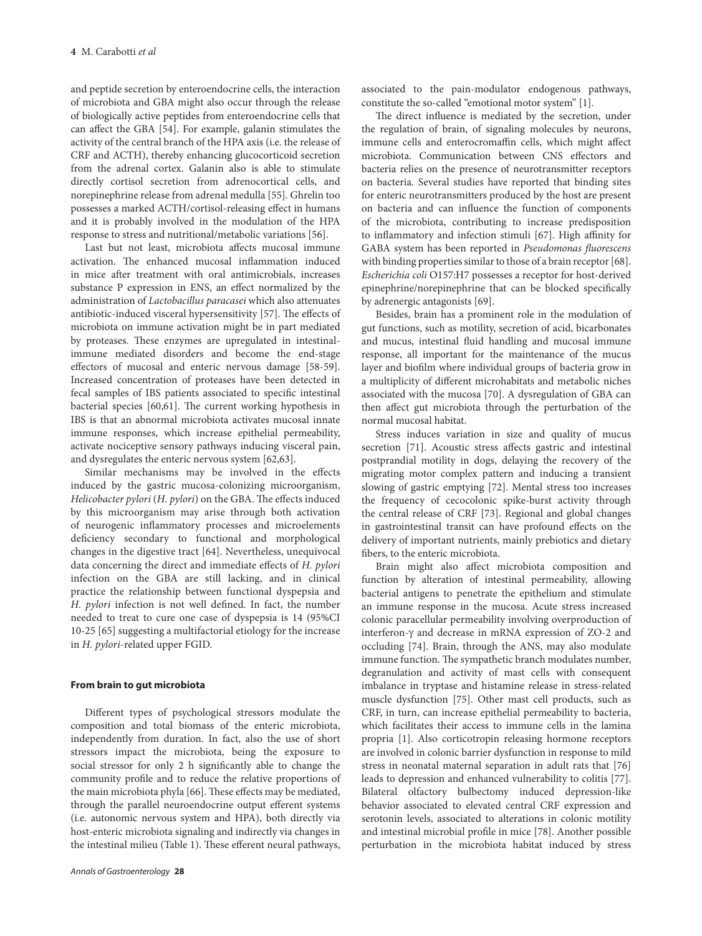and peptide secretion by enteroendocrine cells, the interaction of microbiota and GBA might also occur through the release of biologically active peptides from enteroendocrine cells that can affect the GBA [54]. For example, galanin stimulates the activity of the central branch of the HPA axis (i.e. the release of CRF and ACTH), thereby enhancing glucocorticoid secretion from the adrenal cortex. Galanin also is able to stimulate directly cortisol secretion from adrenocortical cells, and norepinephrine release from adrenal medulla [55]. Ghrelin too possesses a marked ACTH/cortisol-releasing effect in humans and it is probably involved in the modulation of the HPA response to stress and nutritional/metabolic variations [56].

Last but not least, microbiota affects mucosal immune activation. The enhanced mucosal inflammation induced in mice after treatment with oral antimicrobials, increases substance P expression in ENS, an effect normalized by the administration of *Lactobacillus paracasei* which also attenuates antibiotic-induced visceral hypersensitivity [57]. The effects of microbiota on immune activation might be in part mediated by proteases. These enzymes are upregulated in intestinalimmune mediated disorders and become the end-stage effectors of mucosal and enteric nervous damage [58-59]. Increased concentration of proteases have been detected in fecal samples of IBS patients associated to specific intestinal bacterial species [60,61]. The current working hypothesis in IBS is that an abnormal microbiota activates mucosal innate immune responses, which increase epithelial permeability, activate nociceptive sensory pathways inducing visceral pain, and dysregulates the enteric nervous system [62,63].

Similar mechanisms may be involved in the effects induced by the gastric mucosa-colonizing microorganism, *Helicobacter pylori* (*H. pylori*) on the GBA. The effects induced by this microorganism may arise through both activation of neurogenic inflammatory processes and microelements deficiency secondary to functional and morphological changes in the digestive tract [64]. Nevertheless, unequivocal data concerning the direct and immediate effects of *H. pylori* infection on the GBA are still lacking, and in clinical practice the relationship between functional dyspepsia and *H. pylori* infection is not well defined. In fact, the number needed to treat to cure one case of dyspepsia is 14 (95%CI 10-25 [65] suggesting a multifactorial etiology for the increase in *H. pylori*-related upper FGID.

#### **From brain to gut microbiota**

Different types of psychological stressors modulate the composition and total biomass of the enteric microbiota, independently from duration. In fact, also the use of short stressors impact the microbiota, being the exposure to social stressor for only 2 h significantly able to change the community profile and to reduce the relative proportions of the main microbiota phyla [66]. These effects may be mediated, through the parallel neuroendocrine output efferent systems (i.e. autonomic nervous system and HPA), both directly via host-enteric microbiota signaling and indirectly via changes in the intestinal milieu (Table 1). These efferent neural pathways,

associated to the pain-modulator endogenous pathways, constitute the so-called "emotional motor system" [1].

The direct influence is mediated by the secretion, under the regulation of brain, of signaling molecules by neurons, immune cells and enterocromaffin cells, which might affect microbiota. Communication between CNS effectors and bacteria relies on the presence of neurotransmitter receptors on bacteria. Several studies have reported that binding sites for enteric neurotransmitters produced by the host are present on bacteria and can influence the function of components of the microbiota, contributing to increase predisposition to inflammatory and infection stimuli [67]. High affinity for GABA system has been reported in *Pseudomonas fluorescens*  with binding properties similar to those of a brain receptor [68]. *Escherichia coli* O157:H7 possesses a receptor for host-derived epinephrine/norepinephrine that can be blocked specifically by adrenergic antagonists [69].

Besides, brain has a prominent role in the modulation of gut functions, such as motility, secretion of acid, bicarbonates and mucus, intestinal fluid handling and mucosal immune response, all important for the maintenance of the mucus layer and biofilm where individual groups of bacteria grow in a multiplicity of different microhabitats and metabolic niches associated with the mucosa [70]. A dysregulation of GBA can then affect gut microbiota through the perturbation of the normal mucosal habitat.

Stress induces variation in size and quality of mucus secretion [71]. Acoustic stress affects gastric and intestinal postprandial motility in dogs, delaying the recovery of the migrating motor complex pattern and inducing a transient slowing of gastric emptying [72]. Mental stress too increases the frequency of cecocolonic spike-burst activity through the central release of CRF [73]. Regional and global changes in gastrointestinal transit can have profound effects on the delivery of important nutrients, mainly prebiotics and dietary fibers, to the enteric microbiota.

Brain might also affect microbiota composition and function by alteration of intestinal permeability, allowing bacterial antigens to penetrate the epithelium and stimulate an immune response in the mucosa. Acute stress increased colonic paracellular permeability involving overproduction of interferon-γ and decrease in mRNA expression of ZO-2 and occluding [74]. Brain, through the ANS, may also modulate immune function. The sympathetic branch modulates number, degranulation and activity of mast cells with consequent imbalance in tryptase and histamine release in stress-related muscle dysfunction [75]. Other mast cell products, such as CRF, in turn, can increase epithelial permeability to bacteria, which facilitates their access to immune cells in the lamina propria [1]. Also corticotropin releasing hormone receptors are involved in colonic barrier dysfunction in response to mild stress in neonatal maternal separation in adult rats that [76] leads to depression and enhanced vulnerability to colitis [77]. Bilateral olfactory bulbectomy induced depression-like behavior associated to elevated central CRF expression and serotonin levels, associated to alterations in colonic motility and intestinal microbial profile in mice [78]. Another possible perturbation in the microbiota habitat induced by stress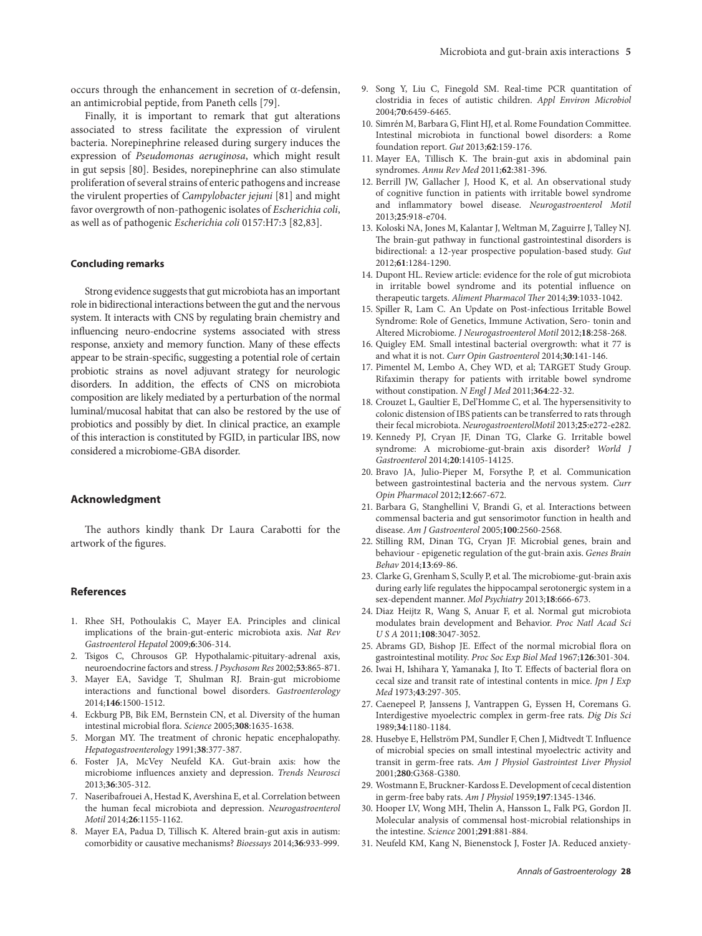occurs through the enhancement in secretion of α-defensin, an antimicrobial peptide, from Paneth cells [79].

Finally, it is important to remark that gut alterations associated to stress facilitate the expression of virulent bacteria. Norepinephrine released during surgery induces the expression of *Pseudomonas aeruginosa*, which might result in gut sepsis [80]. Besides, norepinephrine can also stimulate proliferation of several strains of enteric pathogens and increase the virulent properties of *Campylobacter jejuni* [81] and might favor overgrowth of non-pathogenic isolates of *Escherichia coli*, as well as of pathogenic *Escherichia coli* 0157:H7:3 [82,83].

#### **Concluding remarks**

Strong evidence suggests that gut microbiota has an important role in bidirectional interactions between the gut and the nervous system. It interacts with CNS by regulating brain chemistry and influencing neuro-endocrine systems associated with stress response, anxiety and memory function. Many of these effects appear to be strain-specific, suggesting a potential role of certain probiotic strains as novel adjuvant strategy for neurologic disorders. In addition, the effects of CNS on microbiota composition are likely mediated by a perturbation of the normal luminal/mucosal habitat that can also be restored by the use of probiotics and possibly by diet. In clinical practice, an example of this interaction is constituted by FGID, in particular IBS, now considered a microbiome-GBA disorder.

# **Acknowledgment**

The authors kindly thank Dr Laura Carabotti for the artwork of the figures.

#### **References**

- 1. Rhee SH, Pothoulakis C, Mayer EA. Principles and clinical implications of the brain-gut-enteric microbiota axis. *Nat Rev Gastroenterol Hepatol* 2009;**6**:306-314.
- 2. Tsigos C, Chrousos GP. Hypothalamic-pituitary-adrenal axis, neuroendocrine factors and stress. *J Psychosom Res* 2002;**53**:865-871.
- 3. Mayer EA, Savidge T, Shulman RJ. Brain-gut microbiome interactions and functional bowel disorders. *Gastroenterology* 2014;**146**:1500-1512.
- 4. Eckburg PB, Bik EM, Bernstein CN, et al. Diversity of the human intestinal microbial flora. *Science* 2005;**308**:1635-1638.
- 5. Morgan MY. The treatment of chronic hepatic encephalopathy. *Hepatogastroenterology* 1991;**38**:377-387.
- 6. Foster JA, McVey Neufeld KA. Gut-brain axis: how the microbiome influences anxiety and depression. *Trends Neurosci* 2013;**36**:305-312.
- 7. Naseribafrouei A, Hestad K, Avershina E, et al. Correlation between the human fecal microbiota and depression. *Neurogastroenterol Motil* 2014;**26**:1155-1162.
- 8. Mayer EA, Padua D, Tillisch K. Altered brain-gut axis in autism: comorbidity or causative mechanisms? *Bioessays* 2014;**36**:933-999.
- 9. Song Y, Liu C, Finegold SM. Real-time PCR quantitation of clostridia in feces of autistic children. *Appl Environ Microbiol* 2004;**70**:6459-6465.
- 10. Simrén M, Barbara G, Flint HJ, et al. Rome Foundation Committee. Intestinal microbiota in functional bowel disorders: a Rome foundation report. *Gut* 2013;**62**:159-176.
- 11. Mayer EA, Tillisch K. The brain-gut axis in abdominal pain syndromes. *Annu Rev Med* 2011;**62**:381-396.
- 12. Berrill JW, Gallacher J, Hood K, et al. An observational study of cognitive function in patients with irritable bowel syndrome and inflammatory bowel disease. *Neurogastroenterol Motil* 2013;**25**:918-e704.
- 13. Koloski NA, Jones M, Kalantar J, Weltman M, Zaguirre J, Talley NJ. The brain-gut pathway in functional gastrointestinal disorders is bidirectional: a 12-year prospective population-based study. *Gut* 2012;**61**:1284-1290.
- 14. Dupont HL. Review article: evidence for the role of gut microbiota in irritable bowel syndrome and its potential influence on therapeutic targets. *Aliment Pharmacol Ther* 2014;**39**:1033-1042.
- 15. Spiller R, Lam C. An Update on Post-infectious Irritable Bowel Syndrome: Role of Genetics, Immune Activation, Sero- tonin and Altered Microbiome. *J Neurogastroenterol Motil* 2012;**18**:258-268.
- 16. Quigley EM. Small intestinal bacterial overgrowth: what it 77 is and what it is not. *Curr Opin Gastroenterol* 2014;**30**:141-146.
- 17. Pimentel M, Lembo A, Chey WD, et al; TARGET Study Group. Rifaximin therapy for patients with irritable bowel syndrome without constipation. *N Engl J Med* 2011;**364**:22-32.
- 18. Crouzet L, Gaultier E, Del'Homme C, et al. The hypersensitivity to colonic distension of IBS patients can be transferred to rats through their fecal microbiota. *NeurogastroenterolMotil* 2013;**25**:e272-e282.
- 19. Kennedy PJ, Cryan JF, Dinan TG, Clarke G. Irritable bowel syndrome: A microbiome-gut-brain axis disorder? *World J Gastroenterol* 2014;**20**:14105-14125.
- 20. Bravo JA, Julio-Pieper M, Forsythe P, et al. Communication between gastrointestinal bacteria and the nervous system. *Curr Opin Pharmacol* 2012;**12**:667-672.
- 21. Barbara G, Stanghellini V, Brandi G, et al. Interactions between commensal bacteria and gut sensorimotor function in health and disease. *Am J Gastroenterol* 2005;**100**:2560-2568.
- 22. Stilling RM, Dinan TG, Cryan JF. Microbial genes, brain and behaviour - epigenetic regulation of the gut-brain axis. *Genes Brain Behav* 2014;**13**:69-86.
- 23. Clarke G, Grenham S, Scully P, et al. The microbiome-gut-brain axis during early life regulates the hippocampal serotonergic system in a sex-dependent manner. *Mol Psychiatry* 2013;**18**:666-673.
- 24. Diaz Heijtz R, Wang S, Anuar F, et al. Normal gut microbiota modulates brain development and Behavior. *Proc Natl Acad Sci U S A* 2011;**108**:3047-3052.
- 25. Abrams GD, Bishop JE. Effect of the normal microbial flora on gastrointestinal motility. *Proc Soc Exp Biol Med* 1967;**126**:301-304.
- 26. Iwai H, Ishihara Y, Yamanaka J, Ito T. Effects of bacterial flora on cecal size and transit rate of intestinal contents in mice. *Jpn J Exp Med* 1973;**43**:297-305.
- 27. Caenepeel P, Janssens J, Vantrappen G, Eyssen H, Coremans G. Interdigestive myoelectric complex in germ-free rats. *Dig Dis Sci* 1989;**34**:1180-1184.
- 28. Husebye E, Hellström PM, Sundler F, Chen J, Midtvedt T. Influence of microbial species on small intestinal myoelectric activity and transit in germ-free rats. *Am J Physiol Gastrointest Liver Physiol* 2001;**280**:G368-G380.
- 29. Wostmann E, Bruckner-Kardoss E. Development of cecal distention in germ-free baby rats. *Am J Physiol* 1959;**197**:1345-1346.
- 30. Hooper LV, Wong MH, Thelin A, Hansson L, Falk PG, Gordon JI. Molecular analysis of commensal host-microbial relationships in the intestine. *Science* 2001;**291**:881-884.
- 31. Neufeld KM, Kang N, Bienenstock J, Foster JA. Reduced anxiety-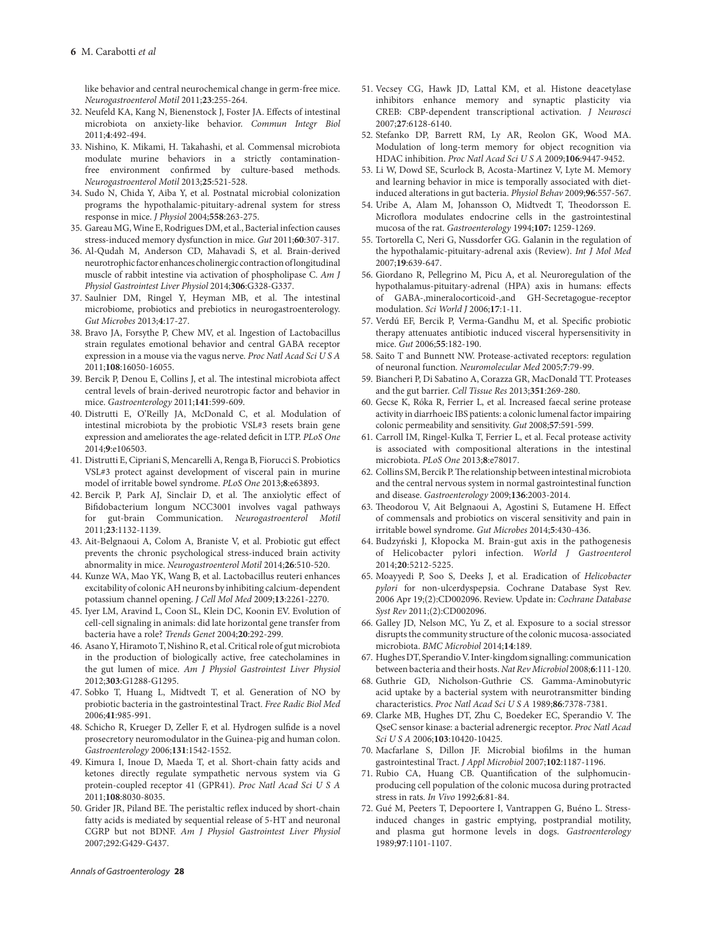like behavior and central neurochemical change in germ-free mice. *Neurogastroenterol Motil* 2011;**23**:255-264.

- 32. Neufeld KA, Kang N, Bienenstock J, Foster JA. Effects of intestinal microbiota on anxiety-like behavior. *Commun Integr Biol* 2011;**4**:492-494.
- 33. Nishino, K. Mikami, H. Takahashi, et al. Commensal microbiota modulate murine behaviors in a strictly contaminationfree environment confirmed by culture-based methods. *Neurogastroenterol Motil* 2013;**25**:521-528.
- 34. Sudo N, Chida Y, Aiba Y, et al. Postnatal microbial colonization programs the hypothalamic-pituitary-adrenal system for stress response in mice. *J Physiol* 2004;**558**:263-275.
- 35. Gareau MG, Wine E, Rodrigues DM, et al., Bacterial infection causes stress-induced memory dysfunction in mice. *Gut* 2011;**60**:307-317.
- 36. Al-Qudah M, Anderson CD, Mahavadi S, et al. Brain-derived neurotrophic factor enhances cholinergic contraction of longitudinal muscle of rabbit intestine via activation of phospholipase C. *Am J Physiol Gastrointest Liver Physiol* 2014;**306**:G328-G337.
- 37. Saulnier DM, Ringel Y, Heyman MB, et al. The intestinal microbiome, probiotics and prebiotics in neurogastroenterology. *Gut Microbes* 2013;**4**:17-27.
- 38. Bravo JA, Forsythe P, Chew MV, et al. Ingestion of Lactobacillus strain regulates emotional behavior and central GABA receptor expression in a mouse via the vagus nerve. *Proc Natl Acad Sci U S A*  2011;**108**:16050-16055.
- 39. Bercik P, Denou E, Collins J, et al. The intestinal microbiota affect central levels of brain-derived neurotropic factor and behavior in mice. *Gastroenterology* 2011;**141**:599-609.
- 40. Distrutti E, O'Reilly JA, McDonald C, et al. Modulation of intestinal microbiota by the probiotic VSL#3 resets brain gene expression and ameliorates the age-related deficit in LTP. *PLoS One* 2014;**9**:e106503.
- 41. Distrutti E, Cipriani S, Mencarelli A, Renga B, Fiorucci S. Probiotics VSL#3 protect against development of visceral pain in murine model of irritable bowel syndrome. *PLoS One* 2013;**8**:e63893.
- 42. Bercik P, Park AJ, Sinclair D, et al. The anxiolytic effect of Bifidobacterium longum NCC3001 involves vagal pathways for gut-brain Communication. *Neurogastroenterol Motil*  2011;**23**:1132-1139.
- 43. Ait-Belgnaoui A, Colom A, Braniste V, et al. Probiotic gut effect prevents the chronic psychological stress-induced brain activity abnormality in mice. *Neurogastroenterol Motil* 2014;**26**:510-520.
- 44. Kunze WA, Mao YK, Wang B, et al. Lactobacillus reuteri enhances excitability of colonic AH neurons by inhibiting calcium-dependent potassium channel opening. *J Cell Mol Med* 2009;**13**:2261-2270.
- 45. Iyer LM, Aravind L, Coon SL, Klein DC, Koonin EV. Evolution of cell-cell signaling in animals: did late horizontal gene transfer from bacteria have a role? *Trends Genet* 2004;**20**:292-299.
- 46. Asano Y, Hiramoto T, Nishino R, et al. Critical role of gut microbiota in the production of biologically active, free catecholamines in the gut lumen of mice. *Am J Physiol Gastrointest Liver Physiol*  2012;**303**:G1288-G1295.
- 47. Sobko T, Huang L, Midtvedt T, et al. Generation of NO by probiotic bacteria in the gastrointestinal Tract. *Free Radic Biol Med* 2006;**41**:985-991.
- 48. Schicho R, Krueger D, Zeller F, et al. Hydrogen sulfide is a novel prosecretory neuromodulator in the Guinea-pig and human colon. *Gastroenterology* 2006;**131**:1542-1552.
- 49. Kimura I, Inoue D, Maeda T, et al. Short-chain fatty acids and ketones directly regulate sympathetic nervous system via G protein-coupled receptor 41 (GPR41). *Proc Natl Acad Sci U S A* 2011;**108**:8030-8035.
- 50. Grider JR, Piland BE. The peristaltic reflex induced by short-chain fatty acids is mediated by sequential release of 5-HT and neuronal CGRP but not BDNF. *Am J Physiol Gastrointest Liver Physiol* 2007;292:G429-G437.
- 51. Vecsey CG, Hawk JD, Lattal KM, et al. Histone deacetylase inhibitors enhance memory and synaptic plasticity via CREB: CBP-dependent transcriptional activation*. J Neurosci* 2007;**27**:6128-6140.
- 52. Stefanko DP, Barrett RM, Ly AR, Reolon GK, Wood MA. Modulation of long-term memory for object recognition via HDAC inhibition. *Proc Natl Acad Sci U S A* 2009;**106**:9447-9452.
- 53. Li W, Dowd SE, Scurlock B, Acosta-Martinez V, Lyte M. Memory and learning behavior in mice is temporally associated with dietinduced alterations in gut bacteria. *Physiol Behav* 2009;**96**:557-567.
- 54. Uribe A, Alam M, Johansson O, Midtvedt T, Theodorsson E. Microflora modulates endocrine cells in the gastrointestinal mucosa of the rat. *Gastroenterology* 1994;**107:** 1259-1269.
- 55. Tortorella C, Neri G, Nussdorfer GG. Galanin in the regulation of the hypothalamic-pituitary-adrenal axis (Review). *Int J Mol Med*  2007;**19**:639-647.
- 56. Giordano R, Pellegrino M, Picu A, et al. Neuroregulation of the hypothalamus-pituitary-adrenal (HPA) axis in humans: effects of GABA-,mineralocorticoid-,and GH-Secretagogue-receptor modulation. *Sci World J* 2006;**17**:1-11.
- 57. Verdú EF, Bercik P, Verma-Gandhu M, et al. Specific probiotic therapy attenuates antibiotic induced visceral hypersensitivity in mice. *Gut* 2006;**55**:182-190.
- 58. Saito T and Bunnett NW. Protease-activated receptors: regulation of neuronal function*. Neuromolecular Med* 2005;**7**:79-99.
- 59. Biancheri P, Di Sabatino A, Corazza GR, MacDonald TT. Proteases and the gut barrier. *Cell Tissue Res* 2013;**351**:269-280.
- 60. Gecse K, Róka R, Ferrier L, et al. Increased faecal serine protease activity in diarrhoeic IBS patients: a colonic lumenal factor impairing colonic permeability and sensitivity. *Gut* 2008;**57**:591-599.
- 61. Carroll IM, Ringel-Kulka T, Ferrier L, et al. Fecal protease activity is associated with compositional alterations in the intestinal microbiota. *PLoS One* 2013;**8**:e78017.
- 62. Collins SM, Bercik P. The relationship between intestinal microbiota and the central nervous system in normal gastrointestinal function and disease. *Gastroenterology* 2009;**136**:2003-2014.
- 63. Theodorou V, Ait Belgnaoui A, Agostini S, Eutamene H. Effect of commensals and probiotics on visceral sensitivity and pain in irritable bowel syndrome. *Gut Microbes* 2014;**5**:430-436.
- 64. Budzyński J, Kłopocka M. Brain-gut axis in the pathogenesis of Helicobacter pylori infection. *World J Gastroenterol* 2014;**20**:5212-5225.
- 65. Moayyedi P, Soo S, Deeks J, et al. Eradication of *Helicobacter pylori* for non-ulcerdyspepsia. Cochrane Database Syst Rev. 2006 Apr 19;(2):CD002096. Review. Update in: *Cochrane Database Syst Rev* 2011;(2):CD002096.
- 66. Galley JD, Nelson MC, Yu Z, et al. Exposure to a social stressor disrupts the community structure of the colonic mucosa-associated microbiota. *BMC Microbiol* 2014;**14**:189.
- 67. Hughes DT, Sperandio V. Inter-kingdom signalling: communication between bacteria and their hosts. *Nat Rev Microbiol* 2008;**6**:111-120.
- 68. Guthrie GD, Nicholson-Guthrie CS. Gamma-Aminobutyric acid uptake by a bacterial system with neurotransmitter binding characteristics. *Proc Natl Acad Sci U S A* 1989;**86**:7378-7381.
- 69. Clarke MB, Hughes DT, Zhu C, Boedeker EC, Sperandio V. The QseC sensor kinase: a bacterial adrenergic receptor. *Proc Natl Acad Sci U S A* 2006;**103**:10420-10425.
- 70. Macfarlane S, Dillon JF. Microbial biofilms in the human gastrointestinal Tract. *J Appl Microbiol* 2007;**102**:1187-1196.
- 71. Rubio CA, Huang CB. Quantification of the sulphomucinproducing cell population of the colonic mucosa during protracted stress in rats. *In Vivo* 1992;**6**:81-84.
- 72. Gué M, Peeters T, Depoortere I, Vantrappen G, Buéno L. Stressinduced changes in gastric emptying, postprandial motility, and plasma gut hormone levels in dogs. *Gastroenterology* 1989;**97**:1101-1107.